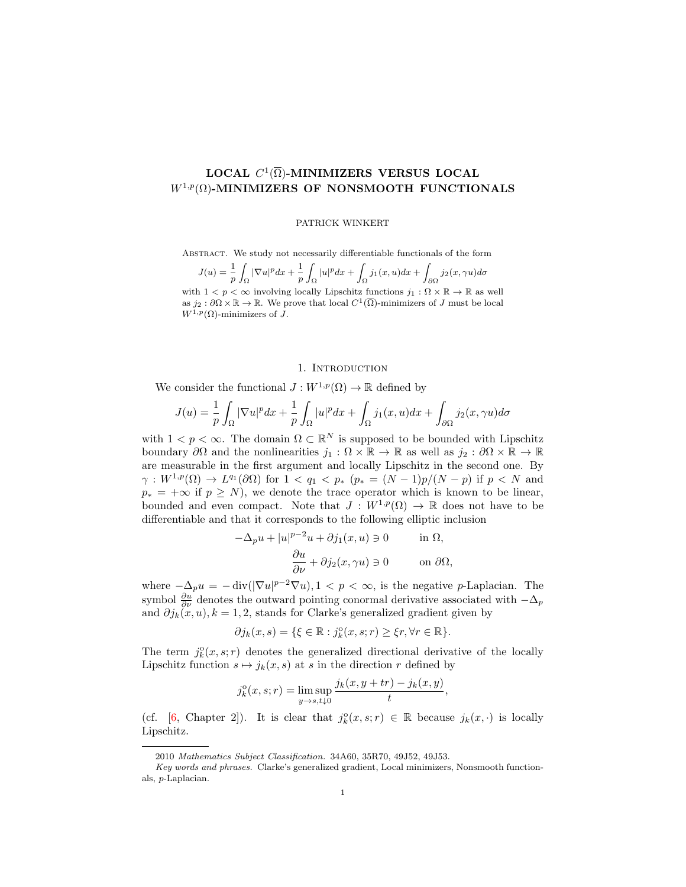# LOCAL  $C^1(\overline{\Omega})$ -MINIMIZERS VERSUS LOCAL  $W^{1,p}(\Omega)$ -MINIMIZERS OF NONSMOOTH FUNCTIONALS

## PATRICK WINKERT

Abstract. We study not necessarily differentiable functionals of the form

 $J(u) = \frac{1}{p}$ Z  $\int_{\Omega}|\nabla u|^pdx+\frac{1}{p}$ p Z  $\int_{\Omega}|u|^{p}dx+\int$  $\int_{\Omega} j_1(x,u)dx + \int$  $\int_{\partial\Omega} j_2(x,\gamma u)d\sigma$ with  $1 < p < \infty$  involving locally Lipschitz functions  $j_1 : \Omega \times \mathbb{R} \to \mathbb{R}$  as well as  $j_2 : \partial \Omega \times \mathbb{R} \to \mathbb{R}$ . We prove that local  $C^1(\overline{\Omega})$ -minimizers of J must be local  $W^{1,p}(\Omega)$ -minimizers of J.

# 1. INTRODUCTION

We consider the functional  $J: W^{1,p}(\Omega) \to \mathbb{R}$  defined by

$$
J(u) = \frac{1}{p} \int_{\Omega} |\nabla u|^p dx + \frac{1}{p} \int_{\Omega} |u|^p dx + \int_{\Omega} j_1(x, u) dx + \int_{\partial \Omega} j_2(x, \gamma u) d\sigma
$$

with  $1 < p < \infty$ . The domain  $\Omega \subset \mathbb{R}^N$  is supposed to be bounded with Lipschitz boundary  $\partial\Omega$  and the nonlinearities  $j_1:\Omega\times\mathbb{R}\to\mathbb{R}$  as well as  $j_2:\partial\Omega\times\mathbb{R}\to\mathbb{R}$ are measurable in the first argument and locally Lipschitz in the second one. By  $\gamma: W^{1,p}(\Omega) \to L^{q_1}(\partial \Omega)$  for  $1 < q_1 < p_*$   $(p_* = (N-1)p/(N-p)$  if  $p < N$  and  $p_* = +\infty$  if  $p \geq N$ , we denote the trace operator which is known to be linear, bounded and even compact. Note that  $J: W^{1,p}(\Omega) \to \mathbb{R}$  does not have to be differentiable and that it corresponds to the following elliptic inclusion

$$
-\Delta_p u + |u|^{p-2}u + \partial j_1(x, u) \ni 0 \quad \text{in } \Omega,
$$
  

$$
\frac{\partial u}{\partial \nu} + \partial j_2(x, \gamma u) \ni 0 \quad \text{on } \partial \Omega,
$$

where  $-\Delta_p u = -\text{div}(|\nabla u|^{p-2} \nabla u)$ ,  $1 < p < \infty$ , is the negative p-Laplacian. The symbol  $\frac{\partial u}{\partial \nu}$  denotes the outward pointing conormal derivative associated with  $-\Delta_p$ and  $\partial j_k(x, u)$ ,  $k = 1, 2$ , stands for Clarke's generalized gradient given by

$$
\partial j_k(x,s) = \{ \xi \in \mathbb{R} : j_k^{\circ}(x,s;r) \geq \xi r, \forall r \in \mathbb{R} \}.
$$

The term  $j_k^{\circ}(x, s; r)$  denotes the generalized directional derivative of the locally Lipschitz function  $s \mapsto j_k(x, s)$  at s in the direction r defined by

$$
j_k^{\circ}(x, s; r) = \limsup_{y \to s, t \downarrow 0} \frac{j_k(x, y + tr) - j_k(x, y)}{t},
$$

(cf. [\[6,](#page-6-0) Chapter 2]). It is clear that  $j_k^{\circ}(x, s; r) \in \mathbb{R}$  because  $j_k(x, \cdot)$  is locally Lipschitz.

<sup>2010</sup> Mathematics Subject Classification. 34A60, 35R70, 49J52, 49J53.

Key words and phrases. Clarke's generalized gradient, Local minimizers, Nonsmooth functionals, p-Laplacian.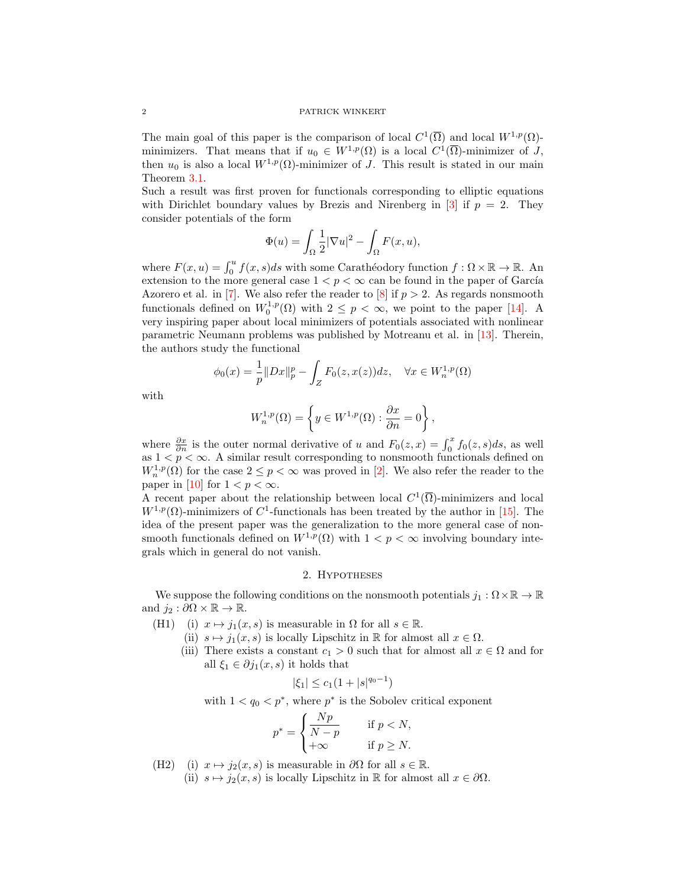### 2 PATRICK WINKERT

The main goal of this paper is the comparison of local  $C^1(\overline{\Omega})$  and local  $W^{1,p}(\Omega)$ minimizers. That means that if  $u_0 \in W^{1,p}(\Omega)$  is a local  $C^1(\overline{\Omega})$ -minimizer of J, then  $u_0$  is also a local  $W^{1,p}(\Omega)$ -minimizer of J. This result is stated in our main Theorem [3.1.](#page-2-0)

Such a result was first proven for functionals corresponding to elliptic equations with Dirichlet boundary values by Brezis and Nirenberg in [\[3\]](#page-6-1) if  $p = 2$ . They consider potentials of the form

$$
\Phi(u) = \int_{\Omega} \frac{1}{2} |\nabla u|^2 - \int_{\Omega} F(x, u),
$$

where  $F(x, u) = \int_0^u f(x, s)ds$  with some Carathéodory function  $f : \Omega \times \mathbb{R} \to \mathbb{R}$ . An extension to the more general case  $1 < p < \infty$  can be found in the paper of García Azorero et al. in [\[7\]](#page-6-2). We also refer the reader to [\[8\]](#page-6-3) if  $p > 2$ . As regards nonsmooth functionals defined on  $W_0^{1,p}(\Omega)$  with  $2 \leq p < \infty$ , we point to the paper [\[14\]](#page-6-4). A very inspiring paper about local minimizers of potentials associated with nonlinear parametric Neumann problems was published by Motreanu et al. in [\[13\]](#page-6-5). Therein, the authors study the functional

$$
\phi_0(x) = \frac{1}{p} \|Dx\|_p^p - \int_Z F_0(z, x(z)) dz, \quad \forall x \in W_n^{1,p}(\Omega)
$$

with

$$
W_n^{1,p}(\Omega) = \left\{ y \in W^{1,p}(\Omega) : \frac{\partial x}{\partial n} = 0 \right\},\,
$$

where  $\frac{\partial x}{\partial n}$  is the outer normal derivative of u and  $F_0(z, x) = \int_0^x f_0(z, s)ds$ , as well as  $1 < p < \infty$ . A similar result corresponding to nonsmooth functionals defined on  $W_n^{1,p}(\Omega)$  for the case  $2 \leq p < \infty$  was proved in [\[2\]](#page-6-6). We also refer the reader to the paper in [\[10\]](#page-6-7) for  $1 < p < \infty$ .

A recent paper about the relationship between local  $C^1(\overline{\Omega})$ -minimizers and local  $W^{1,p}(\Omega)$ -minimizers of C<sup>1</sup>-functionals has been treated by the author in [\[15\]](#page-6-8). The idea of the present paper was the generalization to the more general case of nonsmooth functionals defined on  $W^{1,p}(\Omega)$  with  $1 < p < \infty$  involving boundary integrals which in general do not vanish.

### 2. Hypotheses

We suppose the following conditions on the nonsmooth potentials  $j_1 : \Omega \times \mathbb{R} \to \mathbb{R}$ and  $j_2 : \partial\Omega \times \mathbb{R} \to \mathbb{R}$ .

- (H1) (i)  $x \mapsto j_1(x, s)$  is measurable in  $\Omega$  for all  $s \in \mathbb{R}$ .
	- (ii)  $s \mapsto j_1(x, s)$  is locally Lipschitz in R for almost all  $x \in \Omega$ .
	- (iii) There exists a constant  $c_1 > 0$  such that for almost all  $x \in \Omega$  and for all  $\xi_1 \in \partial j_1(x, s)$  it holds that

$$
|\xi_1| \le c_1 (1+|s|^{q_0-1})
$$

with  $1 < q_0 < p^*$ , where  $p^*$  is the Sobolev critical exponent

$$
p^* = \begin{cases} \frac{Np}{N-p} & \text{if } p < N, \\ +\infty & \text{if } p \ge N. \end{cases}
$$

(H2) (i)  $x \mapsto j_2(x, s)$  is measurable in  $\partial\Omega$  for all  $s \in \mathbb{R}$ .

(ii)  $s \mapsto j_2(x, s)$  is locally Lipschitz in R for almost all  $x \in \partial \Omega$ .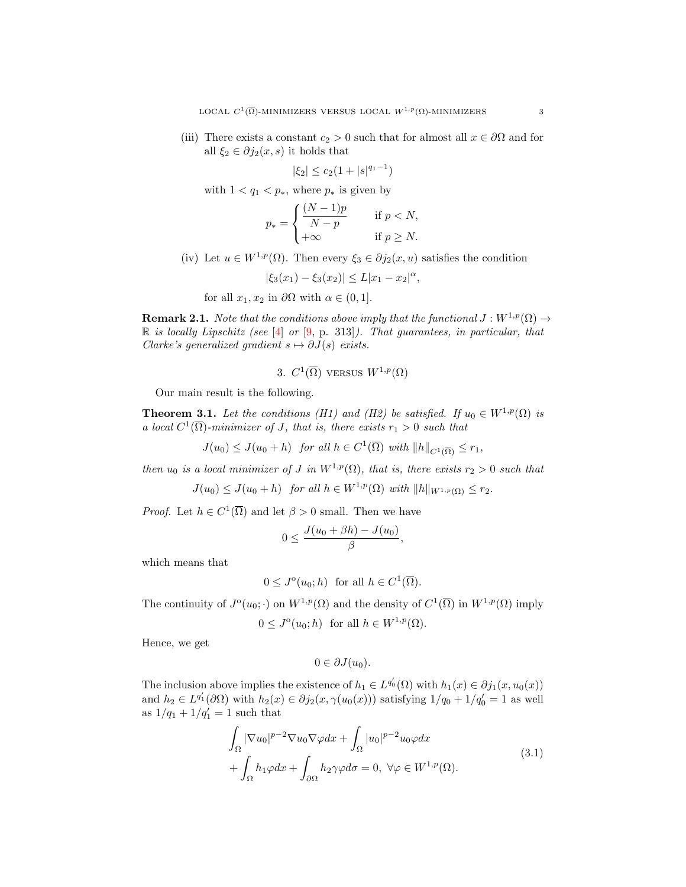(iii) There exists a constant  $c_2 > 0$  such that for almost all  $x \in \partial\Omega$  and for all  $\xi_2 \in \partial j_2(x, s)$  it holds that

$$
|\xi_2| \le c_2(1+|s|^{q_1-1})
$$

with  $1 < q_1 < p_*$ , where  $p_*$  is given by

$$
p_* = \begin{cases} \frac{(N-1)p}{N-p} & \text{if } p < N, \\ +\infty & \text{if } p \ge N. \end{cases}
$$

(iv) Let  $u \in W^{1,p}(\Omega)$ . Then every  $\xi_3 \in \partial j_2(x, u)$  satisfies the condition

$$
|\xi_3(x_1) - \xi_3(x_2)| \le L|x_1 - x_2|^{\alpha},
$$

for all  $x_1, x_2$  in  $\partial\Omega$  with  $\alpha \in (0, 1]$ .

**Remark 2.1.** Note that the conditions above imply that the functional  $J: W^{1,p}(\Omega) \to$  $\mathbb R$  is locally Lipschitz (see [\[4\]](#page-6-9) or [\[9,](#page-6-10) p. 313]). That guarantees, in particular, that Clarke's generalized gradient  $s \mapsto \partial J(s)$  exists.

3.  $C^1(\overline{\Omega})$  versus  $W^{1,p}(\Omega)$ 

Our main result is the following.

<span id="page-2-0"></span>**Theorem 3.1.** Let the conditions (H1) and (H2) be satisfied. If  $u_0 \in W^{1,p}(\Omega)$  is a local  $C^1(\overline{\Omega})$ -minimizer of J, that is, there exists  $r_1 > 0$  such that

 $J(u_0) \leq J(u_0 + h)$  for all  $h \in C^1(\overline{\Omega})$  with  $||h||_{C^1(\overline{\Omega})} \leq r_1$ ,

then  $u_0$  is a local minimizer of J in  $W^{1,p}(\Omega)$ , that is, there exists  $r_2 > 0$  such that

 $J(u_0) \leq J(u_0 + h)$  for all  $h \in W^{1,p}(\Omega)$  with  $||h||_{W^{1,p}(\Omega)} \leq r_2$ .

*Proof.* Let  $h \in C^1(\overline{\Omega})$  and let  $\beta > 0$  small. Then we have

$$
0 \le \frac{J(u_0 + \beta h) - J(u_0)}{\beta},
$$

which means that

$$
0 \leq J^{\circ}(u_0; h)
$$
 for all  $h \in C^1(\overline{\Omega})$ .

The continuity of  $J^{\circ}(u_0; \cdot)$  on  $W^{1,p}(\Omega)$  and the density of  $C^1(\overline{\Omega})$  in  $W^{1,p}(\Omega)$  imply

$$
0 \leq J^{\circ}(u_0; h) \text{ for all } h \in W^{1, p}(\Omega).
$$

Hence, we get

<span id="page-2-1"></span>
$$
0\in \partial J(u_0).
$$

The inclusion above implies the existence of  $h_1 \in L^{q'_0}(\Omega)$  with  $h_1(x) \in \partial j_1(x, u_0(x))$ and  $h_2 \in L^{q'_1}(\partial\Omega)$  with  $h_2(x) \in \partial j_2(x, \gamma(u_0(x)))$  satisfying  $1/q_0 + 1/q'_0 = 1$  as well as  $1/q_1 + 1/q'_1 = 1$  such that

$$
\int_{\Omega} |\nabla u_0|^{p-2} \nabla u_0 \nabla \varphi dx + \int_{\Omega} |u_0|^{p-2} u_0 \varphi dx \n+ \int_{\Omega} h_1 \varphi dx + \int_{\partial \Omega} h_2 \gamma \varphi d\sigma = 0, \ \forall \varphi \in W^{1,p}(\Omega).
$$
\n(3.1)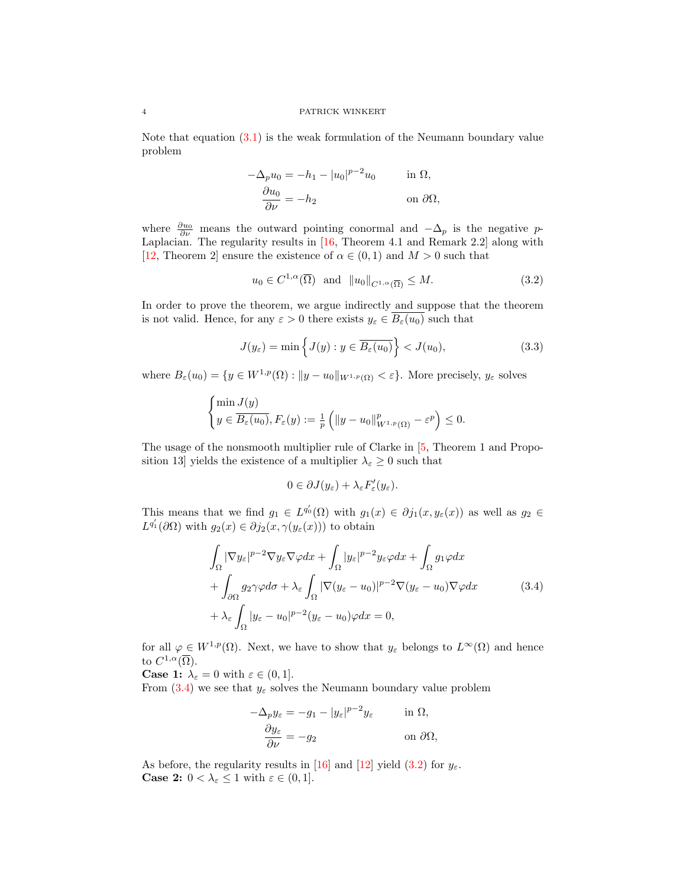#### 4 PATRICK WINKERT

Note that equation [\(3.1\)](#page-2-1) is the weak formulation of the Neumann boundary value problem

$$
-\Delta_p u_0 = -h_1 - |u_0|^{p-2} u_0 \quad \text{in } \Omega,
$$
  

$$
\frac{\partial u_0}{\partial \nu} = -h_2 \quad \text{on } \partial \Omega,
$$

where  $\frac{\partial u_0}{\partial \nu}$  means the outward pointing conormal and  $-\Delta_p$  is the negative p-Laplacian. The regularity results in [\[16,](#page-6-11) Theorem 4.1 and Remark 2.2] along with [\[12,](#page-6-12) Theorem 2] ensure the existence of  $\alpha \in (0,1)$  and  $M > 0$  such that

<span id="page-3-1"></span>
$$
u_0 \in C^{1,\alpha}(\overline{\Omega})
$$
 and  $||u_0||_{C^{1,\alpha}(\overline{\Omega})} \leq M.$  (3.2)

In order to prove the theorem, we argue indirectly and suppose that the theorem is not valid. Hence, for any  $\varepsilon > 0$  there exists  $y_{\varepsilon} \in B_{\varepsilon}(u_0)$  such that

$$
J(y_{\varepsilon}) = \min\left\{J(y) : y \in \overline{B_{\varepsilon}(u_0)}\right\} < J(u_0),\tag{3.3}
$$

where  $B_{\varepsilon}(u_0) = \{y \in W^{1,p}(\Omega) : ||y - u_0||_{W^{1,p}(\Omega)} < \varepsilon\}.$  More precisely,  $y_{\varepsilon}$  solves

$$
\begin{cases}\n\min J(y) \\
y \in \overline{B_{\varepsilon}(u_0)}, F_{\varepsilon}(y) := \frac{1}{p} \left( \|y - u_0\|_{W^{1,p}(\Omega)}^p - \varepsilon^p \right) \le 0.\n\end{cases}
$$

The usage of the nonsmooth multiplier rule of Clarke in [\[5,](#page-6-13) Theorem 1 and Proposition 13] yields the existence of a multiplier  $\lambda_{\varepsilon} \geq 0$  such that

<span id="page-3-2"></span><span id="page-3-0"></span>
$$
0\in \partial J(y_{\varepsilon})+\lambda_{\varepsilon}F'_{\varepsilon}(y_{\varepsilon}).
$$

This means that we find  $g_1 \in L^{q'_0}(\Omega)$  with  $g_1(x) \in \partial j_1(x, y_\varepsilon(x))$  as well as  $g_2 \in$  $L^{q'_1}(\partial\Omega)$  with  $g_2(x) \in \partial j_2(x,\gamma(y_\varepsilon(x)))$  to obtain

$$
\int_{\Omega} |\nabla y_{\varepsilon}|^{p-2} \nabla y_{\varepsilon} \nabla \varphi dx + \int_{\Omega} |y_{\varepsilon}|^{p-2} y_{\varepsilon} \varphi dx + \int_{\Omega} g_1 \varphi dx \n+ \int_{\partial \Omega} g_2 \gamma \varphi d\sigma + \lambda_{\varepsilon} \int_{\Omega} |\nabla (y_{\varepsilon} - u_0)|^{p-2} \nabla (y_{\varepsilon} - u_0) \nabla \varphi dx \n+ \lambda_{\varepsilon} \int_{\Omega} |y_{\varepsilon} - u_0|^{p-2} (y_{\varepsilon} - u_0) \varphi dx = 0,
$$
\n(3.4)

for all  $\varphi \in W^{1,p}(\Omega)$ . Next, we have to show that  $y_{\varepsilon}$  belongs to  $L^{\infty}(\Omega)$  and hence to  $C^{1,\alpha}(\overline{\Omega})$ .

**Case 1:**  $\lambda_{\varepsilon} = 0$  with  $\varepsilon \in (0, 1]$ .

From  $(3.4)$  we see that  $y_{\varepsilon}$  solves the Neumann boundary value problem

$$
-\Delta_p y_{\varepsilon} = -g_1 - |y_{\varepsilon}|^{p-2} y_{\varepsilon} \quad \text{in } \Omega,
$$
  

$$
\frac{\partial y_{\varepsilon}}{\partial \nu} = -g_2 \quad \text{on } \partial \Omega,
$$

As before, the regularity results in [\[16\]](#page-6-11) and [\[12\]](#page-6-12) yield  $(3.2)$  for  $y_{\varepsilon}$ . **Case 2:**  $0 < \lambda_{\varepsilon} \leq 1$  with  $\varepsilon \in (0, 1]$ .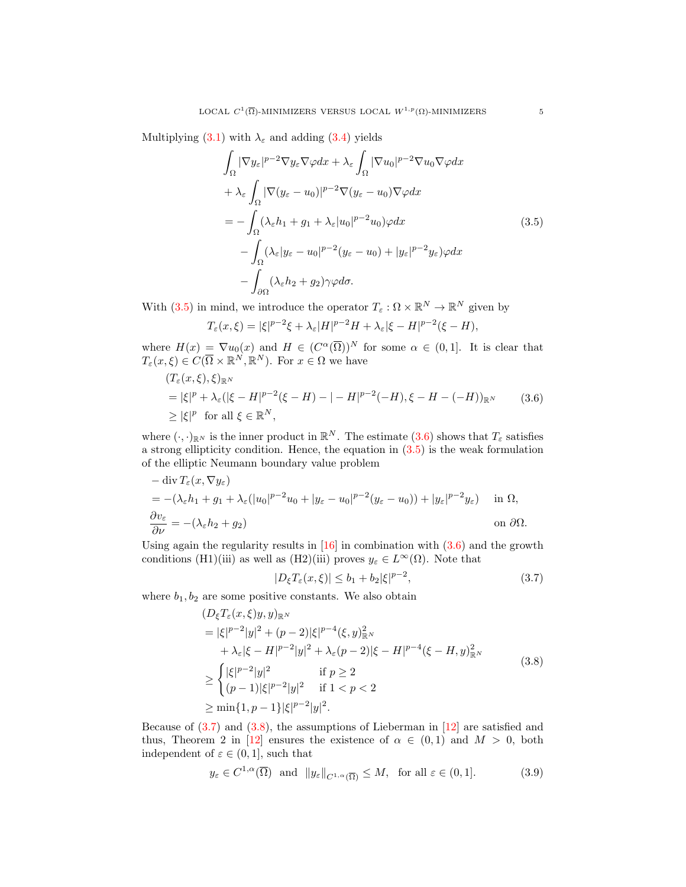Multiplying [\(3.1\)](#page-2-1) with  $\lambda_{\varepsilon}$  and adding [\(3.4\)](#page-3-0) yields

<span id="page-4-0"></span>
$$
\int_{\Omega} |\nabla y_{\varepsilon}|^{p-2} \nabla y_{\varepsilon} \nabla \varphi dx + \lambda_{\varepsilon} \int_{\Omega} |\nabla u_{0}|^{p-2} \nabla u_{0} \nabla \varphi dx \n+ \lambda_{\varepsilon} \int_{\Omega} |\nabla (y_{\varepsilon} - u_{0})|^{p-2} \nabla (y_{\varepsilon} - u_{0}) \nabla \varphi dx \n= - \int_{\Omega} (\lambda_{\varepsilon} h_{1} + g_{1} + \lambda_{\varepsilon} |u_{0}|^{p-2} u_{0}) \varphi dx \n- \int_{\Omega} (\lambda_{\varepsilon} |y_{\varepsilon} - u_{0}|^{p-2} (y_{\varepsilon} - u_{0}) + |y_{\varepsilon}|^{p-2} y_{\varepsilon}) \varphi dx \n- \int_{\partial \Omega} (\lambda_{\varepsilon} h_{2} + g_{2}) \gamma \varphi d\sigma.
$$
\n(3.5)

With  $(3.5)$  in mind, we introduce the operator  $T_{\varepsilon}: \Omega \times \mathbb{R}^N \to \mathbb{R}^N$  given by

$$
T_{\varepsilon}(x,\xi) = |\xi|^{p-2}\xi + \lambda_{\varepsilon}|H|^{p-2}H + \lambda_{\varepsilon}|\xi - H|^{p-2}(\xi - H),
$$

where  $H(x) = \nabla u_0(x)$  and  $H \in (C^{\alpha}(\overline{\Omega}))^N$  for some  $\alpha \in (0,1]$ . It is clear that  $T_{\varepsilon}(x,\xi) \in C(\overline{\Omega} \times \mathbb{R}^N, \mathbb{R}^N)$ . For  $x \in \Omega$  we have

$$
(T_{\varepsilon}(x,\xi),\xi)_{\mathbb{R}^N}
$$
  
= |\xi|^p + \lambda\_{\varepsilon}(|\xi - H|^{p-2}(\xi - H) - | - H|^{p-2}(-H), \xi - H - (-H))\_{\mathbb{R}^N} (3.6)  
\ge |\xi|^p \text{ for all } \xi \in \mathbb{R}^N,

where  $(\cdot, \cdot)_{\mathbb{R}^N}$  is the inner product in  $\mathbb{R}^N$ . The estimate  $(3.6)$  shows that  $T_{\varepsilon}$  satisfies a strong ellipticity condition. Hence, the equation in  $(3.5)$  is the weak formulation of the elliptic Neumann boundary value problem

$$
-\operatorname{div} T_{\varepsilon}(x, \nabla y_{\varepsilon})
$$
  
= -(\lambda\_{\varepsilon} h\_1 + g\_1 + \lambda\_{\varepsilon} (|u\_0|^{p-2}u\_0 + |y\_{\varepsilon} - u\_0|^{p-2}(y\_{\varepsilon} - u\_0)) + |y\_{\varepsilon}|^{p-2}y\_{\varepsilon}) \t\tin \Omega,  

$$
\frac{\partial v_{\varepsilon}}{\partial \nu} = -(\lambda_{\varepsilon} h_2 + g_2)
$$
 on  $\partial \Omega$ .

Using again the regularity results in  $[16]$  in combination with  $(3.6)$  and the growth conditions (H1)(iii) as well as (H2)(iii) proves  $y_{\varepsilon} \in L^{\infty}(\Omega)$ . Note that

<span id="page-4-4"></span><span id="page-4-3"></span><span id="page-4-2"></span><span id="page-4-1"></span>
$$
|D_{\xi}T_{\varepsilon}(x,\xi)| \le b_1 + b_2 |\xi|^{p-2},\tag{3.7}
$$

where  $b_1, b_2$  are some positive constants. We also obtain

$$
(D_{\xi}T_{\varepsilon}(x,\xi)y,y)_{\mathbb{R}^{N}}
$$
\n
$$
= |\xi|^{p-2}|y|^{2} + (p-2)|\xi|^{p-4}(\xi,y)_{\mathbb{R}^{N}}^{2}
$$
\n
$$
+ \lambda_{\varepsilon}|\xi - H|^{p-2}|y|^{2} + \lambda_{\varepsilon}(p-2)|\xi - H|^{p-4}(\xi - H,y)_{\mathbb{R}^{N}}^{2}
$$
\n
$$
\geq \begin{cases} |\xi|^{p-2}|y|^{2} & \text{if } p \geq 2\\ (p-1)|\xi|^{p-2}|y|^{2} & \text{if } 1 < p < 2 \end{cases}
$$
\n
$$
\geq \min\{1, p-1\}|\xi|^{p-2}|y|^{2}.
$$
\n(3.8)

Because of  $(3.7)$  and  $(3.8)$ , the assumptions of Lieberman in  $[12]$  are satisfied and thus, Theorem 2 in [\[12\]](#page-6-12) ensures the existence of  $\alpha \in (0,1)$  and  $M > 0$ , both independent of  $\varepsilon \in (0,1]$ , such that

$$
y_{\varepsilon} \in C^{1,\alpha}(\overline{\Omega}) \text{ and } ||y_{\varepsilon}||_{C^{1,\alpha}(\overline{\Omega})} \leq M, \text{ for all } \varepsilon \in (0,1].
$$
 (3.9)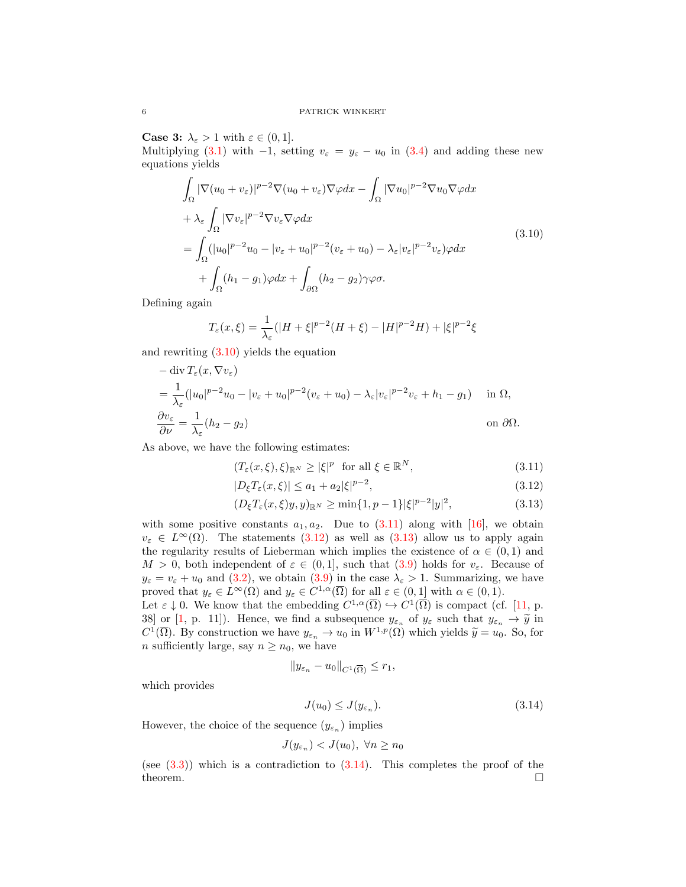**Case 3:**  $\lambda_{\varepsilon} > 1$  with  $\varepsilon \in (0, 1]$ .

Multiplying [\(3.1\)](#page-2-1) with  $-1$ , setting  $v_{\varepsilon} = y_{\varepsilon} - u_0$  in [\(3.4\)](#page-3-0) and adding these new equations yields

$$
\int_{\Omega} |\nabla (u_0 + v_{\varepsilon})|^{p-2} \nabla (u_0 + v_{\varepsilon}) \nabla \varphi dx - \int_{\Omega} |\nabla u_0|^{p-2} \nabla u_0 \nabla \varphi dx \n+ \lambda_{\varepsilon} \int_{\Omega} |\nabla v_{\varepsilon}|^{p-2} \nabla v_{\varepsilon} \nabla \varphi dx \n= \int_{\Omega} (|u_0|^{p-2} u_0 - |v_{\varepsilon} + u_0|^{p-2} (v_{\varepsilon} + u_0) - \lambda_{\varepsilon} |v_{\varepsilon}|^{p-2} v_{\varepsilon}) \varphi dx \n+ \int_{\Omega} (h_1 - g_1) \varphi dx + \int_{\partial \Omega} (h_2 - g_2) \gamma \varphi \sigma.
$$
\n(3.10)

Defining again

<span id="page-5-0"></span>
$$
T_{\varepsilon}(x,\xi) = \frac{1}{\lambda_{\varepsilon}}(|H+\xi|^{p-2}(H+\xi) - |H|^{p-2}H) + |\xi|^{p-2}\xi
$$

and rewriting [\(3.10\)](#page-5-0) yields the equation

$$
-\operatorname{div} T_{\varepsilon}(x, \nabla v_{\varepsilon})
$$
  
=  $\frac{1}{\lambda_{\varepsilon}} (|u_0|^{p-2} u_0 - |v_{\varepsilon} + u_0|^{p-2} (v_{\varepsilon} + u_0) - \lambda_{\varepsilon} |v_{\varepsilon}|^{p-2} v_{\varepsilon} + h_1 - g_1)$  in  $\Omega$ ,  
 $\frac{\partial v_{\varepsilon}}{\partial \nu} = \frac{1}{\lambda_{\varepsilon}} (h_2 - g_2)$  on  $\partial \Omega$ .

As above, we have the following estimates:

<span id="page-5-1"></span>
$$
(T_{\varepsilon}(x,\xi),\xi)_{\mathbb{R}^N} \ge |\xi|^p \quad \text{for all } \xi \in \mathbb{R}^N,
$$
\n(3.11)

<span id="page-5-3"></span><span id="page-5-2"></span>
$$
|D_{\xi}T_{\varepsilon}(x,\xi)| \le a_1 + a_2 |\xi|^{p-2},\tag{3.12}
$$

$$
(D_{\xi}T_{\varepsilon}(x,\xi)y,y)_{\mathbb{R}^N} \ge \min\{1,p-1\}|\xi|^{p-2}|y|^2,
$$
\n(3.13)

with some positive constants  $a_1, a_2$ . Due to  $(3.11)$  along with [\[16\]](#page-6-11), we obtain  $v_{\varepsilon} \in L^{\infty}(\Omega)$ . The statements [\(3.12\)](#page-5-2) as well as [\(3.13\)](#page-5-3) allow us to apply again the regularity results of Lieberman which implies the existence of  $\alpha \in (0,1)$  and  $M > 0$ , both independent of  $\varepsilon \in (0,1]$ , such that  $(3.9)$  holds for  $v_{\varepsilon}$ . Because of  $y_{\varepsilon} = v_{\varepsilon} + u_0$  and [\(3.2\)](#page-3-1), we obtain [\(3.9\)](#page-4-4) in the case  $\lambda_{\varepsilon} > 1$ . Summarizing, we have proved that  $y_{\varepsilon} \in L^{\infty}(\Omega)$  and  $y_{\varepsilon} \in C^{1,\alpha}(\overline{\Omega})$  for all  $\varepsilon \in (0,1]$  with  $\alpha \in (0,1)$ .

Let  $\varepsilon \downarrow 0$ . We know that the embedding  $C^{1,\alpha}(\overline{\Omega}) \hookrightarrow C^{1}(\overline{\Omega})$  is compact (cf. [\[11,](#page-6-14) p. 38] or [\[1,](#page-6-15) p. 11]). Hence, we find a subsequence  $y_{\varepsilon_n}$  of  $y_{\varepsilon}$  such that  $y_{\varepsilon_n} \to \tilde{y}$  in  $C^1(\overline{O})$ . By construction we have  $y_{\varepsilon_n} \to y$  in  $W^{1,p}(O)$  which yields  $\tilde{y}_{\varepsilon_n} \to y$ . So for  $C^1(\overline{\Omega})$ . By construction we have  $y_{\varepsilon_n} \to u_0$  in  $W^{1,p}(\Omega)$  which yields  $\widetilde{y} = u_0$ . So, for n sufficiently large, say  $n \geq n_0$ , we have

$$
||y_{\varepsilon_n} - u_0||_{C^1(\overline{\Omega})} \le r_1,
$$

which provides

<span id="page-5-4"></span>
$$
J(u_0) \le J(y_{\varepsilon_n}).\tag{3.14}
$$

However, the choice of the sequence  $(y_{\varepsilon_n})$  implies

$$
J(y_{\varepsilon_n}) < J(u_0), \ \forall n \ge n_0
$$

(see  $(3.3)$ ) which is a contradiction to  $(3.14)$ . This completes the proof of the theorem.  $\Box$